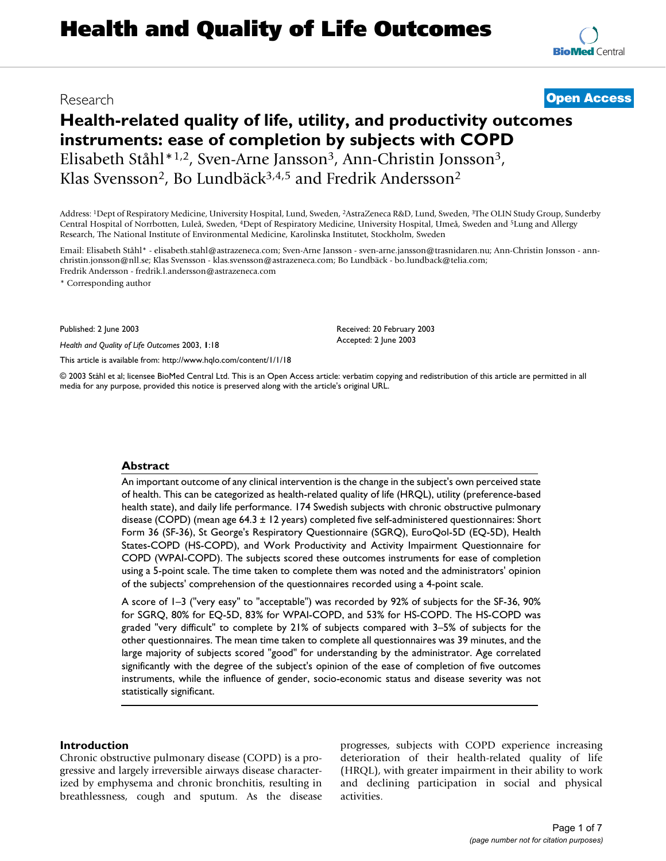# **Health-related quality of life, utility, and productivity outcomes instruments: ease of completion by subjects with COPD** Elisabeth Ståhl\*1,2, Sven-Arne Jansson3, Ann-Christin Jonsson3, Klas Svensson<sup>2</sup>, Bo Lundbäck<sup>3,4,5</sup> and Fredrik Andersson<sup>2</sup>

Address: <sup>1</sup>Dept of Respiratory Medicine, University Hospital, Lund, Sweden, <sup>2</sup>AstraZeneca R&D, Lund, Sweden, <sup>3</sup>The OLIN Study Group, Sunderby Central Hospital of Norrbotten, Luleå, Sweden, 4Dept of Respiratory Medicine, University Hospital, Umeå, Sweden and 5Lung and Allergy Research, The National Institute of Environmental Medicine, Karolinska Institutet, Stockholm, Sweden

Email: Elisabeth Ståhl\* - elisabeth.stahl@astrazeneca.com; Sven-Arne Jansson - sven-arne.jansson@trasnidaren.nu; Ann-Christin Jonsson - annchristin.jonsson@nll.se; Klas Svensson - klas.svensson@astrazeneca.com; Bo Lundbäck - bo.lundback@telia.com;

> Received: 20 February 2003 Accepted: 2 June 2003

Fredrik Andersson - fredrik.l.andersson@astrazeneca.com

\* Corresponding author

Published: 2 June 2003

*Health and Quality of Life Outcomes* 2003, **1**:18

[This article is available from: http://www.hqlo.com/content/1/1/18](http://www.hqlo.com/content/1/1/18)

© 2003 Ståhl et al; licensee BioMed Central Ltd. This is an Open Access article: verbatim copying and redistribution of this article are permitted in all media for any purpose, provided this notice is preserved along with the article's original URL.

# **Abstract**

An important outcome of any clinical intervention is the change in the subject's own perceived state of health. This can be categorized as health-related quality of life (HRQL), utility (preference-based health state), and daily life performance. 174 Swedish subjects with chronic obstructive pulmonary disease (COPD) (mean age 64.3 ± 12 years) completed five self-administered questionnaires: Short Form 36 (SF-36), St George's Respiratory Questionnaire (SGRQ), EuroQol-5D (EQ-5D), Health States-COPD (HS-COPD), and Work Productivity and Activity Impairment Questionnaire for COPD (WPAI-COPD). The subjects scored these outcomes instruments for ease of completion using a 5-point scale. The time taken to complete them was noted and the administrators' opinion of the subjects' comprehension of the questionnaires recorded using a 4-point scale.

A score of 1–3 ("very easy" to "acceptable") was recorded by 92% of subjects for the SF-36, 90% for SGRQ, 80% for EQ-5D, 83% for WPAI-COPD, and 53% for HS-COPD. The HS-COPD was graded "very difficult" to complete by 21% of subjects compared with 3–5% of subjects for the other questionnaires. The mean time taken to complete all questionnaires was 39 minutes, and the large majority of subjects scored "good" for understanding by the administrator. Age correlated significantly with the degree of the subject's opinion of the ease of completion of five outcomes instruments, while the influence of gender, socio-economic status and disease severity was not statistically significant.

### **Introduction**

Chronic obstructive pulmonary disease (COPD) is a progressive and largely irreversible airways disease characterized by emphysema and chronic bronchitis, resulting in breathlessness, cough and sputum. As the disease progresses, subjects with COPD experience increasing deterioration of their health-related quality of life (HRQL), with greater impairment in their ability to work and declining participation in social and physical activities.

# Research **[Open Access](http://www.biomedcentral.com/info/about/charter/)**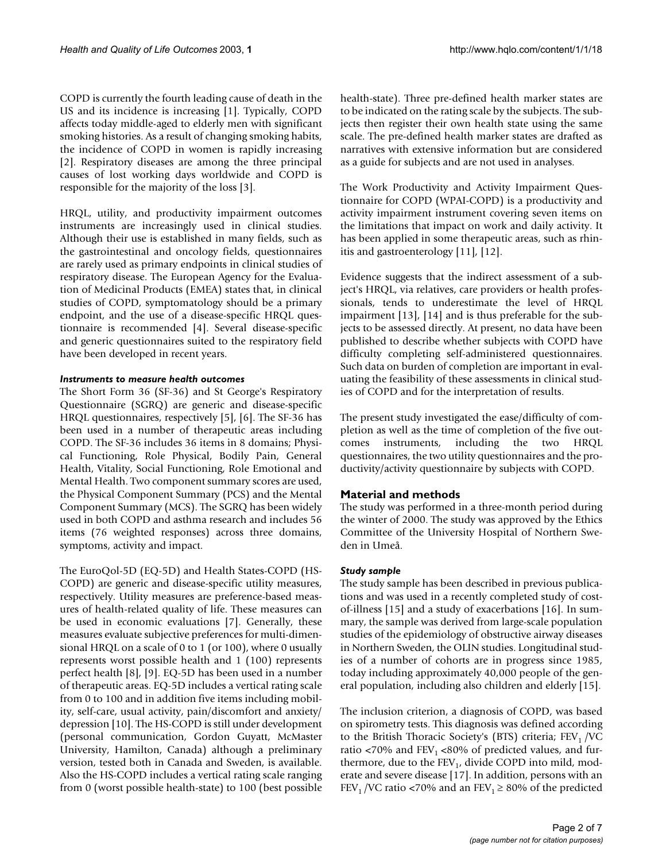COPD is currently the fourth leading cause of death in the US and its incidence is increasing [1]. Typically, COPD affects today middle-aged to elderly men with significant smoking histories. As a result of changing smoking habits, the incidence of COPD in women is rapidly increasing [2]. Respiratory diseases are among the three principal causes of lost working days worldwide and COPD is responsible for the majority of the loss [3].

HRQL, utility, and productivity impairment outcomes instruments are increasingly used in clinical studies. Although their use is established in many fields, such as the gastrointestinal and oncology fields, questionnaires are rarely used as primary endpoints in clinical studies of respiratory disease. The European Agency for the Evaluation of Medicinal Products (EMEA) states that, in clinical studies of COPD, symptomatology should be a primary endpoint, and the use of a disease-specific HRQL questionnaire is recommended [4]. Several disease-specific and generic questionnaires suited to the respiratory field have been developed in recent years.

# *Instruments to measure health outcomes*

The Short Form 36 (SF-36) and St George's Respiratory Questionnaire (SGRQ) are generic and disease-specific HRQL questionnaires, respectively [5], [6]. The SF-36 has been used in a number of therapeutic areas including COPD. The SF-36 includes 36 items in 8 domains; Physical Functioning, Role Physical, Bodily Pain, General Health, Vitality, Social Functioning, Role Emotional and Mental Health. Two component summary scores are used, the Physical Component Summary (PCS) and the Mental Component Summary (MCS). The SGRQ has been widely used in both COPD and asthma research and includes 56 items (76 weighted responses) across three domains, symptoms, activity and impact.

The EuroQol-5D (EQ-5D) and Health States-COPD (HS-COPD) are generic and disease-specific utility measures, respectively. Utility measures are preference-based measures of health-related quality of life. These measures can be used in economic evaluations [7]. Generally, these measures evaluate subjective preferences for multi-dimensional HRQL on a scale of 0 to 1 (or 100), where 0 usually represents worst possible health and 1 (100) represents perfect health [8], [9]. EQ-5D has been used in a number of therapeutic areas. EQ-5D includes a vertical rating scale from 0 to 100 and in addition five items including mobility, self-care, usual activity, pain/discomfort and anxiety/ depression [10]. The HS-COPD is still under development (personal communication, Gordon Guyatt, McMaster University, Hamilton, Canada) although a preliminary version, tested both in Canada and Sweden, is available. Also the HS-COPD includes a vertical rating scale ranging from 0 (worst possible health-state) to 100 (best possible health-state). Three pre-defined health marker states are to be indicated on the rating scale by the subjects. The subjects then register their own health state using the same scale. The pre-defined health marker states are drafted as narratives with extensive information but are considered as a guide for subjects and are not used in analyses.

The Work Productivity and Activity Impairment Questionnaire for COPD (WPAI-COPD) is a productivity and activity impairment instrument covering seven items on the limitations that impact on work and daily activity. It has been applied in some therapeutic areas, such as rhinitis and gastroenterology [11], [12].

Evidence suggests that the indirect assessment of a subject's HRQL, via relatives, care providers or health professionals, tends to underestimate the level of HRQL impairment [13], [14] and is thus preferable for the subjects to be assessed directly. At present, no data have been published to describe whether subjects with COPD have difficulty completing self-administered questionnaires. Such data on burden of completion are important in evaluating the feasibility of these assessments in clinical studies of COPD and for the interpretation of results.

The present study investigated the ease/difficulty of completion as well as the time of completion of the five outcomes instruments, including the two HRQL questionnaires, the two utility questionnaires and the productivity/activity questionnaire by subjects with COPD.

# **Material and methods**

The study was performed in a three-month period during the winter of 2000. The study was approved by the Ethics Committee of the University Hospital of Northern Sweden in Umeå.

# *Study sample*

The study sample has been described in previous publications and was used in a recently completed study of costof-illness [15] and a study of exacerbations [16]. In summary, the sample was derived from large-scale population studies of the epidemiology of obstructive airway diseases in Northern Sweden, the OLIN studies. Longitudinal studies of a number of cohorts are in progress since 1985, today including approximately 40,000 people of the general population, including also children and elderly [15].

The inclusion criterion, a diagnosis of COPD, was based on spirometry tests. This diagnosis was defined according to the British Thoracic Society's (BTS) criteria;  $FEV<sub>1</sub>/VC$ ratio <70% and  $FEV_1$  <80% of predicted values, and furthermore, due to the  $FEV<sub>1</sub>$ , divide COPD into mild, moderate and severe disease [17]. In addition, persons with an FEV<sub>1</sub>/VC ratio <70% and an FEV<sub>1</sub>  $\geq$  80% of the predicted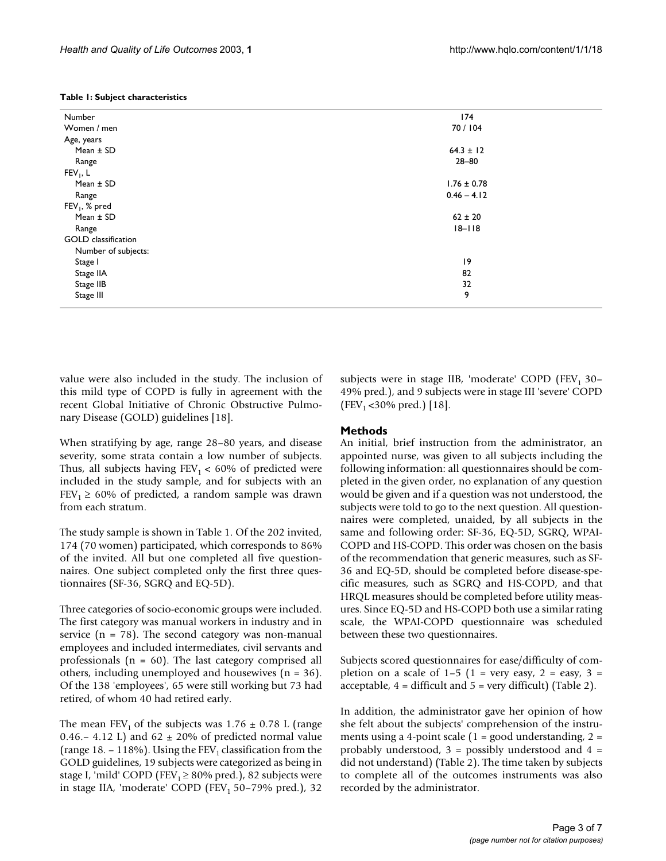value were also included in the study. The inclusion of this mild type of COPD is fully in agreement with the recent Global Initiative of Chronic Obstructive Pulmonary Disease (GOLD) guidelines [18].

When stratifying by age, range 28–80 years, and disease severity, some strata contain a low number of subjects. Thus, all subjects having  $FEV_1 < 60\%$  of predicted were included in the study sample, and for subjects with an FEV<sub>1</sub>  $\geq$  60% of predicted, a random sample was drawn from each stratum.

The study sample is shown in Table [1.](#page-2-0) Of the 202 invited, 174 (70 women) participated, which corresponds to 86% of the invited. All but one completed all five questionnaires. One subject completed only the first three questionnaires (SF-36, SGRQ and EQ-5D).

Three categories of socio-economic groups were included. The first category was manual workers in industry and in service  $(n = 78)$ . The second category was non-manual employees and included intermediates, civil servants and professionals ( $n = 60$ ). The last category comprised all others, including unemployed and housewives (n = 36). Of the 138 'employees', 65 were still working but 73 had retired, of whom 40 had retired early.

The mean FEV<sub>1</sub> of the subjects was  $1.76 \pm 0.78$  L (range 0.46.– 4.12 L) and  $62 \pm 20\%$  of predicted normal value (range 18. – 118%). Using the  $FEV_1$  classification from the GOLD guidelines, 19 subjects were categorized as being in stage I, 'mild' COPD (FEV<sub>1</sub>  $\geq$  80% pred.), 82 subjects were in stage IIA, 'moderate' COPD (FEV<sub>1</sub> 50–79% pred.), 32

subjects were in stage IIB, 'moderate' COPD (FEV<sub>1</sub> 30– 49% pred.), and 9 subjects were in stage III 'severe' COPD  $(FEV_1 < 30\% \text{ pred.})$  [18].

### **Methods**

An initial, brief instruction from the administrator, an appointed nurse, was given to all subjects including the following information: all questionnaires should be completed in the given order, no explanation of any question would be given and if a question was not understood, the subjects were told to go to the next question. All questionnaires were completed, unaided, by all subjects in the same and following order: SF-36, EQ-5D, SGRQ, WPAI-COPD and HS-COPD. This order was chosen on the basis of the recommendation that generic measures, such as SF-36 and EQ-5D, should be completed before disease-specific measures, such as SGRQ and HS-COPD, and that HRQL measures should be completed before utility measures. Since EQ-5D and HS-COPD both use a similar rating scale, the WPAI-COPD questionnaire was scheduled between these two questionnaires.

Subjects scored questionnaires for ease/difficulty of completion on a scale of  $1-5$  (1 = very easy, 2 = easy, 3 = acceptable,  $4 =$  difficult and  $5 =$  very difficult) (Table [2](#page-3-0)).

In addition, the administrator gave her opinion of how she felt about the subjects' comprehension of the instruments using a 4-point scale  $(1 = good understanding, 2 =$ probably understood,  $3 =$  possibly understood and  $4 =$ did not understand) (Table [2\)](#page-3-0). The time taken by subjects to complete all of the outcomes instruments was also recorded by the administrator.

# <span id="page-2-0"></span>**Table 1: Subject characteristics**

| Number                     | 174             |
|----------------------------|-----------------|
| Women / men                | 70 / 104        |
| Age, years                 |                 |
| Mean $\pm$ SD              | $64.3 \pm 12$   |
| Range                      | $28 - 80$       |
| $FEV_1$ , L                |                 |
| Mean $\pm$ SD              | $1.76 \pm 0.78$ |
| Range                      | $0.46 - 4.12$   |
| $FEV_1$ , % pred           |                 |
| Mean $\pm$ SD              | $62 \pm 20$     |
| Range                      | $18 - 118$      |
| <b>GOLD</b> classification |                 |
| Number of subjects:        |                 |
| Stage I                    | 9               |
| Stage IIA                  | 82              |
| Stage IIB                  | 32              |
| Stage III                  | 9               |
|                            |                 |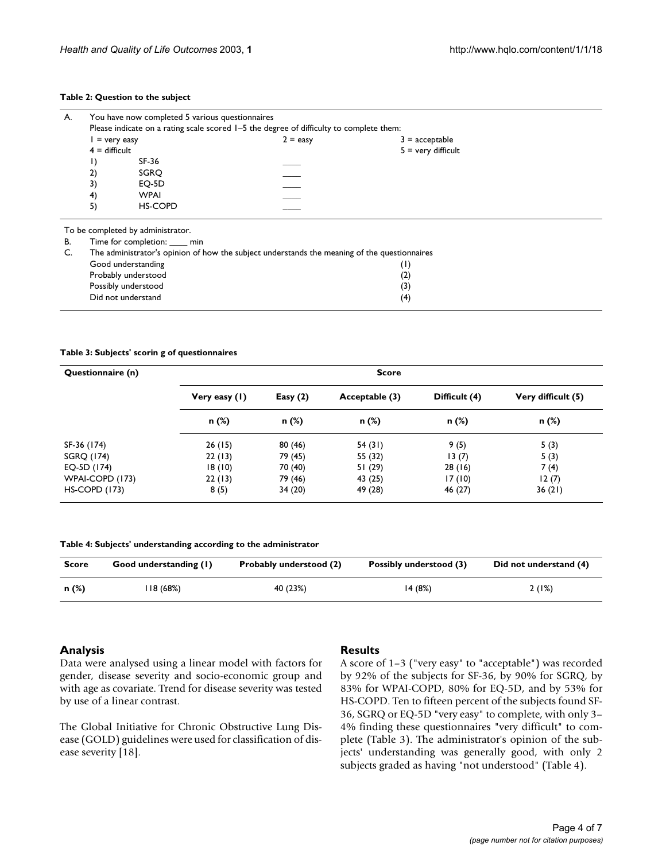### <span id="page-3-0"></span>**Table 2: Question to the subject**

| You have now completed 5 various questionnaires<br>А.<br>Please indicate on a rating scale scored 1–5 the degree of difficulty to complete them: |                                                                                              |                                   |            |                      |  |  |
|--------------------------------------------------------------------------------------------------------------------------------------------------|----------------------------------------------------------------------------------------------|-----------------------------------|------------|----------------------|--|--|
|                                                                                                                                                  | $=$ very easy<br>$4 =$ difficult                                                             |                                   | $2 = easy$ | $3 =$ acceptable     |  |  |
|                                                                                                                                                  |                                                                                              |                                   |            | $5 =$ very difficult |  |  |
|                                                                                                                                                  | I)                                                                                           | SF-36                             |            |                      |  |  |
|                                                                                                                                                  | 2)                                                                                           | SGRO                              |            |                      |  |  |
|                                                                                                                                                  | 3)                                                                                           | EQ-5D                             |            |                      |  |  |
|                                                                                                                                                  | 4)                                                                                           | <b>WPAI</b>                       |            |                      |  |  |
|                                                                                                                                                  | 5)                                                                                           | <b>HS-COPD</b>                    |            |                      |  |  |
|                                                                                                                                                  |                                                                                              | To be completed by administrator. |            |                      |  |  |
| В.                                                                                                                                               |                                                                                              | Time for completion: _____ min    |            |                      |  |  |
| C.                                                                                                                                               | The administrator's opinion of how the subject understands the meaning of the questionnaires |                                   |            |                      |  |  |
|                                                                                                                                                  |                                                                                              | Good understanding                |            | (1)                  |  |  |
|                                                                                                                                                  |                                                                                              | Probably understood               |            | (2)                  |  |  |
|                                                                                                                                                  |                                                                                              | Possibly understood               |            | (3)                  |  |  |
|                                                                                                                                                  |                                                                                              | Did not understand                |            | (4)                  |  |  |

### <span id="page-3-1"></span>**Table 3: Subjects' scorin g of questionnaires**

| Questionnaire (n)    | <b>Score</b>  |            |                |               |                    |
|----------------------|---------------|------------|----------------|---------------|--------------------|
|                      | Very easy (1) | Easy $(2)$ | Acceptable (3) | Difficult (4) | Very difficult (5) |
|                      | n (%)         | n (%)      | n (%)          | $n$ (%)       | n (%)              |
| SF-36 (174)          | 26(15)        | 80(46)     | 54(31)         | 9(5)          | 5(3)               |
| SGRQ (174)           | 22(13)        | 79 (45)    | 55 (32)        | 13(7)         | 5(3)               |
| EQ-5D (174)          | 18(10)        | 70 (40)    | 51(29)         | 28(16)        | 7(4)               |
| WPAI-COPD (173)      | 22(13)        | 79 (46)    | 43 (25)        | 17(10)        | 12(7)              |
| <b>HS-COPD (173)</b> | 8(5)          | 34 (20)    | 49 (28)        | 46 (27)       | 36(21)             |

#### <span id="page-3-2"></span>**Table 4: Subjects' understanding according to the administrator**

| <b>Score</b> | Good understanding (1) | Probably understood (2) | Possibly understood (3) | Did not understand (4) |
|--------------|------------------------|-------------------------|-------------------------|------------------------|
| n (%)        | 118(68%)               | 40 (23%)                | 14 (8%)                 | 2 (1%)                 |

### **Analysis**

Data were analysed using a linear model with factors for gender, disease severity and socio-economic group and with age as covariate. Trend for disease severity was tested by use of a linear contrast.

The Global Initiative for Chronic Obstructive Lung Disease (GOLD) guidelines were used for classification of disease severity [18].

# **Results**

A score of 1–3 ("very easy" to "acceptable") was recorded by 92% of the subjects for SF-36, by 90% for SGRQ, by 83% for WPAI-COPD, 80% for EQ-5D, and by 53% for HS-COPD. Ten to fifteen percent of the subjects found SF-36, SGRQ or EQ-5D "very easy" to complete, with only 3– 4% finding these questionnaires "very difficult" to complete (Table [3](#page-3-1)). The administrator's opinion of the subjects' understanding was generally good, with only 2 subjects graded as having "not understood" (Table [4](#page-3-2)).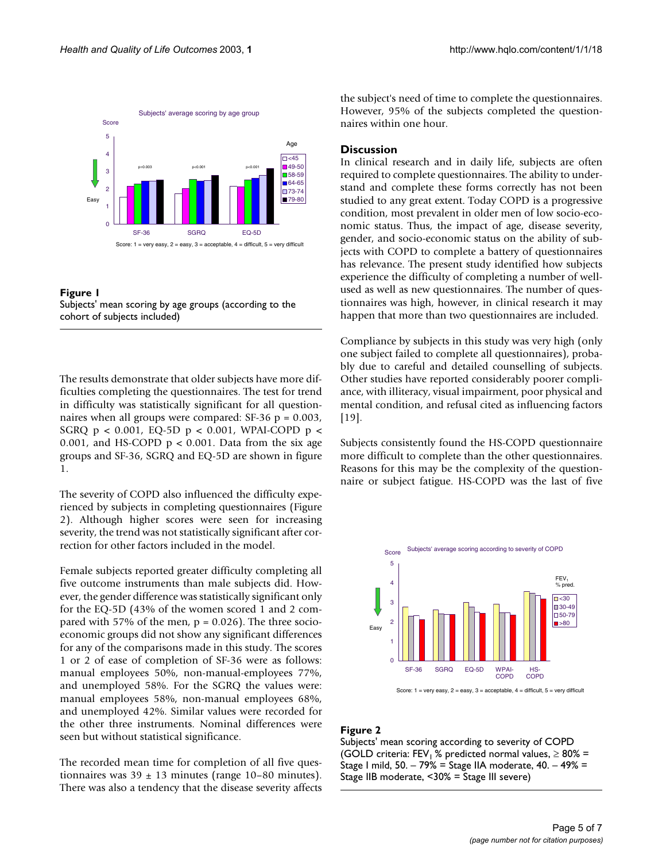



The results demonstrate that older subjects have more difficulties completing the questionnaires. The test for trend in difficulty was statistically significant for all questionnaires when all groups were compared:  $SF-36$  p = 0.003, SGRQ p < 0.001, EQ-5D p < 0.001, WPAI-COPD p < 0.001, and HS-COPD  $p < 0.001$ . Data from the six age groups and SF-36, SGRQ and EQ-5D are shown in figure 1.

The severity of COPD also influenced the difficulty experienced by subjects in completing questionnaires (Figure 2). Although higher scores were seen for increasing severity, the trend was not statistically significant after correction for other factors included in the model.

Female subjects reported greater difficulty completing all five outcome instruments than male subjects did. However, the gender difference was statistically significant only for the EQ-5D (43% of the women scored 1 and 2 compared with 57% of the men,  $p = 0.026$ ). The three socioeconomic groups did not show any significant differences for any of the comparisons made in this study. The scores 1 or 2 of ease of completion of SF-36 were as follows: manual employees 50%, non-manual-employees 77%, and unemployed 58%. For the SGRQ the values were: manual employees 58%, non-manual employees 68%, and unemployed 42%. Similar values were recorded for the other three instruments. Nominal differences were seen but without statistical significance.

The recorded mean time for completion of all five questionnaires was  $39 \pm 13$  minutes (range 10–80 minutes). There was also a tendency that the disease severity affects the subject's need of time to complete the questionnaires. However, 95% of the subjects completed the questionnaires within one hour.

# **Discussion**

In clinical research and in daily life, subjects are often required to complete questionnaires. The ability to understand and complete these forms correctly has not been studied to any great extent. Today COPD is a progressive condition, most prevalent in older men of low socio-economic status. Thus, the impact of age, disease severity, gender, and socio-economic status on the ability of subjects with COPD to complete a battery of questionnaires has relevance. The present study identified how subjects experience the difficulty of completing a number of wellused as well as new questionnaires. The number of questionnaires was high, however, in clinical research it may happen that more than two questionnaires are included.

Compliance by subjects in this study was very high (only one subject failed to complete all questionnaires), probably due to careful and detailed counselling of subjects. Other studies have reported considerably poorer compliance, with illiteracy, visual impairment, poor physical and mental condition, and refusal cited as influencing factors [19].

Subjects consistently found the HS-COPD questionnaire more difficult to complete than the other questionnaires. Reasons for this may be the complexity of the questionnaire or subject fatigue. HS-COPD was the last of five



### **Figure 2**

Subjects' mean scoring according to severity of COPD (GOLD criteria: FEV<sub>1</sub> % predicted normal values,  $\geq 80\%$  = Stage I mild, 50. – 79% = Stage IIA moderate, 40. – 49% = Stage IIB moderate, <30% = Stage III severe)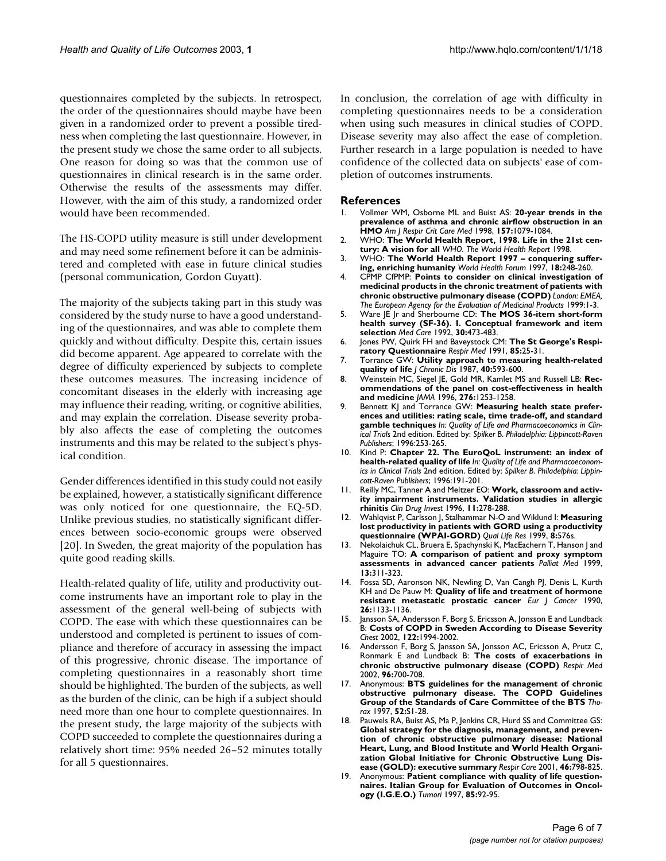questionnaires completed by the subjects. In retrospect, the order of the questionnaires should maybe have been given in a randomized order to prevent a possible tiredness when completing the last questionnaire. However, in the present study we chose the same order to all subjects. One reason for doing so was that the common use of questionnaires in clinical research is in the same order. Otherwise the results of the assessments may differ. However, with the aim of this study, a randomized order would have been recommended.

The HS-COPD utility measure is still under development and may need some refinement before it can be administered and completed with ease in future clinical studies (personal communication, Gordon Guyatt).

The majority of the subjects taking part in this study was considered by the study nurse to have a good understanding of the questionnaires, and was able to complete them quickly and without difficulty. Despite this, certain issues did become apparent. Age appeared to correlate with the degree of difficulty experienced by subjects to complete these outcomes measures. The increasing incidence of concomitant diseases in the elderly with increasing age may influence their reading, writing, or cognitive abilities, and may explain the correlation. Disease severity probably also affects the ease of completing the outcomes instruments and this may be related to the subject's physical condition.

Gender differences identified in this study could not easily be explained, however, a statistically significant difference was only noticed for one questionnaire, the EQ-5D. Unlike previous studies, no statistically significant differences between socio-economic groups were observed [20]. In Sweden, the great majority of the population has quite good reading skills.

Health-related quality of life, utility and productivity outcome instruments have an important role to play in the assessment of the general well-being of subjects with COPD. The ease with which these questionnaires can be understood and completed is pertinent to issues of compliance and therefore of accuracy in assessing the impact of this progressive, chronic disease. The importance of completing questionnaires in a reasonably short time should be highlighted. The burden of the subjects, as well as the burden of the clinic, can be high if a subject should need more than one hour to complete questionnaires. In the present study, the large majority of the subjects with COPD succeeded to complete the questionnaires during a relatively short time: 95% needed 26–52 minutes totally for all 5 questionnaires.

In conclusion, the correlation of age with difficulty in completing questionnaires needs to be a consideration when using such measures in clinical studies of COPD. Disease severity may also affect the ease of completion. Further research in a large population is needed to have confidence of the collected data on subjects' ease of completion of outcomes instruments.

#### **References**

- 1. Vollmer WM, Osborne ML and Buist AS: **[20-year trends in the](http://www.ncbi.nlm.nih.gov/entrez/query.fcgi?cmd=Retrieve&db=PubMed&dopt=Abstract&list_uids=9563722) [prevalence of asthma and chronic airflow obstruction in an](http://www.ncbi.nlm.nih.gov/entrez/query.fcgi?cmd=Retrieve&db=PubMed&dopt=Abstract&list_uids=9563722) [HMO](http://www.ncbi.nlm.nih.gov/entrez/query.fcgi?cmd=Retrieve&db=PubMed&dopt=Abstract&list_uids=9563722)** *Am J Respir Crit Care Med* 1998, **157:**1079-1084.
- 2. WHO: **The World Health Report, 1998. Life in the 21st century: A vision for all** *WHO. The World Health Report* 1998.
- 3. WHO: **[The World Health Report 1997 conquering suffer](http://www.ncbi.nlm.nih.gov/entrez/query.fcgi?cmd=Retrieve&db=PubMed&dopt=Abstract&list_uids=9478137)[ing, enriching humanity](http://www.ncbi.nlm.nih.gov/entrez/query.fcgi?cmd=Retrieve&db=PubMed&dopt=Abstract&list_uids=9478137)** *World Health Forum* 1997, **18:**248-260.
- 4. CPMP CfPMP: **Points to consider on clinical investigation of medicinal products in the chronic treatment of patients with chronic obstructive pulmonary disease (COPD)** *London: EMEA, The European Agency for the Evaluation of Medicinal Products* 1999:1-3.
- 5. Ware JE Jr and Sherbourne CD: **[The MOS 36-item short-form](http://www.ncbi.nlm.nih.gov/entrez/query.fcgi?cmd=Retrieve&db=PubMed&dopt=Abstract&list_uids=1593914) [health survey \(SF-36\). I. Conceptual framework and item](http://www.ncbi.nlm.nih.gov/entrez/query.fcgi?cmd=Retrieve&db=PubMed&dopt=Abstract&list_uids=1593914) [selection](http://www.ncbi.nlm.nih.gov/entrez/query.fcgi?cmd=Retrieve&db=PubMed&dopt=Abstract&list_uids=1593914)** *Med Care* 1992, **30:**473-483.
- 6. Jones PW, Quirk FH and Baveystock CM: **[The St George's Respi](http://www.ncbi.nlm.nih.gov/entrez/query.fcgi?cmd=Retrieve&db=PubMed&dopt=Abstract&list_uids=1759018)[ratory Questionnaire](http://www.ncbi.nlm.nih.gov/entrez/query.fcgi?cmd=Retrieve&db=PubMed&dopt=Abstract&list_uids=1759018)** *Respir Med* 1991, **85:**25-31.
- 7. Torrance GW: **[Utility approach to measuring health-related](http://www.ncbi.nlm.nih.gov/entrez/query.fcgi?cmd=Retrieve&db=PubMed&dopt=Abstract&list_uids=3298297) [quality of life](http://www.ncbi.nlm.nih.gov/entrez/query.fcgi?cmd=Retrieve&db=PubMed&dopt=Abstract&list_uids=3298297)** *J Chronic Dis* 1987, **40:**593-600.
- 8. Weinstein MC, Siegel JE, Gold MR, Kamlet MS and Russell LB: **[Rec](http://www.ncbi.nlm.nih.gov/entrez/query.fcgi?cmd=Retrieve&db=PubMed&dopt=Abstract&list_uids=8849754)[ommendations of the panel on cost-effectiveness in health](http://www.ncbi.nlm.nih.gov/entrez/query.fcgi?cmd=Retrieve&db=PubMed&dopt=Abstract&list_uids=8849754) [and medicine](http://www.ncbi.nlm.nih.gov/entrez/query.fcgi?cmd=Retrieve&db=PubMed&dopt=Abstract&list_uids=8849754)** *JAMA* 1996, **276:**1253-1258.
- 9. Bennett KJ and Torrance GW: **Measuring health state preferences and utilities: rating scale, time trade-off, and standard gamble techniques** *In: Quality of Life and Pharmacoeconomics in Clinical Trials* 2nd edition. Edited by: *Spilker B*. *Philadelphia: Lippincott-Raven Publishers*; 1996:253-265.
- 10. Kind P: **Chapter 22. The EuroQoL instrument: an index of health-related quality of life** *In: Quality of Life and Pharmacoeconomics in Clinical Trials* 2nd edition. Edited by: *Spilker B*. *Philadelphia: Lippincott-Raven Publishers*; 1996:191-201.
- 11. Reilly MC, Tanner A and Meltzer EO: **Work, classroom and activity impairment instruments. Validation studies in allergic rhinitis** *Clin Drug Invest* 1996, **11:**278-288.
- 12. Wahlqvist P, Carlsson J, Stalhammar N-O and Wiklund I: **Measuring lost productivity in patients with GORD using a productivity questionnaire (WPAI-GORD)** *Qual Life Res* 1999, **8:**576s.
- 13. Nekolaichuk CL, Bruera E, Spachynski K, MacEachern T, Hanson J and Maguire TO: **[A comparison of patient and proxy symptom](http://www.ncbi.nlm.nih.gov/entrez/query.fcgi?cmd=Retrieve&db=PubMed&dopt=Abstract&list_uids=10659100) [assessments in advanced cancer patients](http://www.ncbi.nlm.nih.gov/entrez/query.fcgi?cmd=Retrieve&db=PubMed&dopt=Abstract&list_uids=10659100)** *Palliat Med* 1999, **13:**311-323.
- Fossa SD, Aaronson NK, Newling D, Van Cangh PJ, Denis L, Kurth KH and De Pauw M: **[Quality of life and treatment of hormone](http://www.ncbi.nlm.nih.gov/entrez/query.fcgi?cmd=Retrieve&db=PubMed&dopt=Abstract&list_uids=2149995) [resistant metastatic prostatic cancer](http://www.ncbi.nlm.nih.gov/entrez/query.fcgi?cmd=Retrieve&db=PubMed&dopt=Abstract&list_uids=2149995)** *Eur J Cancer* 1990, **26:**1133-1136.
- 15. Jansson SA, Andersson F, Borg S, Ericsson A, Jonsson E and Lundback B: **[Costs of COPD in Sweden According to Disease Severity](http://www.ncbi.nlm.nih.gov/entrez/query.fcgi?cmd=Retrieve&db=PubMed&dopt=Abstract&list_uids=12475838)** *Chest* 2002, **122:**1994-2002.
- Andersson F, Borg S, Jansson SA, Jonsson AC, Ericsson A, Prutz C, Ronmark E and Lundback B: **[The costs of exacerbations in](http://www.ncbi.nlm.nih.gov/entrez/query.fcgi?cmd=Retrieve&db=PubMed&dopt=Abstract&list_uids=12243316) [chronic obstructive pulmonary disease \(COPD\)](http://www.ncbi.nlm.nih.gov/entrez/query.fcgi?cmd=Retrieve&db=PubMed&dopt=Abstract&list_uids=12243316)** *Respir Med* 2002, **96:**700-708.
- 17. Anonymous: **BTS guidelines for the management of chronic obstructive pulmonary disease. The COPD Guidelines Group of the Standards of Care Committee of the BTS** *Thorax* 1997, **52:**S1-28.
- 18. Pauwels RA, Buist AS, Ma P, Jenkins CR, Hurd SS and Committee GS: **[Global strategy for the diagnosis, management, and preven](http://www.ncbi.nlm.nih.gov/entrez/query.fcgi?cmd=Retrieve&db=PubMed&dopt=Abstract&list_uids=11463370)tion of chronic obstructive pulmonary disease: National Heart, Lung, and Blood Institute and World Health Organization Global Initiative for Chronic Obstructive Lung Dis[ease \(GOLD\): executive summary](http://www.ncbi.nlm.nih.gov/entrez/query.fcgi?cmd=Retrieve&db=PubMed&dopt=Abstract&list_uids=11463370)** *Respir Care* 2001, **46:**798-825.
- 19. Anonymous: **Patient compliance with quality of life questionnaires. Italian Group for Evaluation of Outcomes in Oncology (I.G.E.O.)** *Tumori* 1997, **85:**92-95.